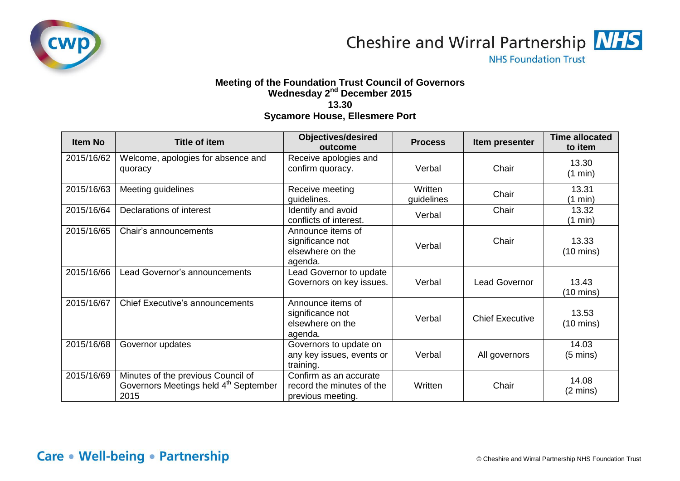

Cheshire and Wirral Partnership **NHS** 

**NHS Foundation Trust** 

## **Meeting of the Foundation Trust Council of Governors Wednesday 2 nd December 2015 13.30 Sycamore House, Ellesmere Port**

| Item No    | <b>Title of item</b>                                                                            | <b>Objectives/desired</b><br>outcome                                     | <b>Process</b>        | Item presenter         | <b>Time allocated</b><br>to item |
|------------|-------------------------------------------------------------------------------------------------|--------------------------------------------------------------------------|-----------------------|------------------------|----------------------------------|
| 2015/16/62 | Welcome, apologies for absence and<br>quoracy                                                   | Receive apologies and<br>confirm quoracy.                                | Verbal                | Chair                  | 13.30<br>(1 min)                 |
| 2015/16/63 | Meeting guidelines                                                                              | Receive meeting<br>guidelines.                                           | Written<br>guidelines | Chair                  | 13.31<br>(1 min)                 |
| 2015/16/64 | Declarations of interest                                                                        | Identify and avoid<br>conflicts of interest.                             | Verbal                | Chair                  | 13.32<br>(1 min)                 |
| 2015/16/65 | Chair's announcements                                                                           | Announce items of<br>significance not<br>elsewhere on the<br>agenda.     | Verbal                | Chair                  | 13.33<br>$(10 \text{ mins})$     |
| 2015/16/66 | Lead Governor's announcements                                                                   | Lead Governor to update<br>Governors on key issues.                      | Verbal                | <b>Lead Governor</b>   | 13.43<br>$(10 \text{ mins})$     |
| 2015/16/67 | Chief Executive's announcements                                                                 | Announce items of<br>significance not<br>elsewhere on the<br>agenda.     | Verbal                | <b>Chief Executive</b> | 13.53<br>$(10 \text{ mins})$     |
| 2015/16/68 | Governor updates                                                                                | Governors to update on<br>any key issues, events or<br>training.         | Verbal                | All governors          | 14.03<br>$(5 \text{ mins})$      |
| 2015/16/69 | Minutes of the previous Council of<br>Governors Meetings held 4 <sup>th</sup> September<br>2015 | Confirm as an accurate<br>record the minutes of the<br>previous meeting. | Written               | Chair                  | 14.08<br>$(2 \text{ mins})$      |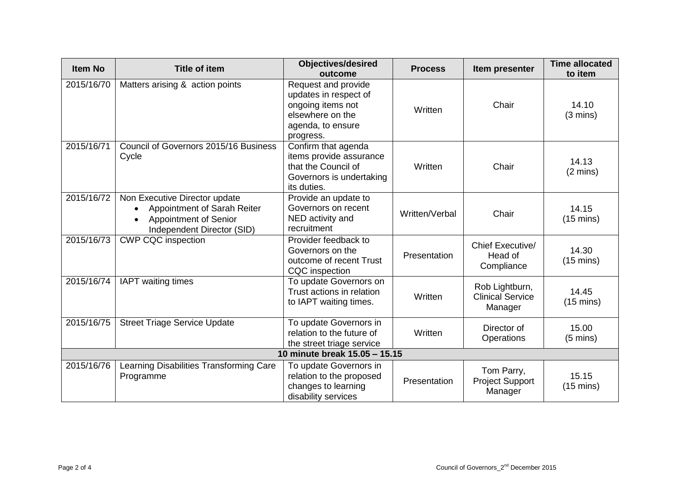| <b>Item No</b>                | <b>Title of item</b>                                                                                                | <b>Objectives/desired</b><br>outcome                                                                                    | <b>Process</b> | Item presenter                                       | <b>Time allocated</b><br>to item |  |
|-------------------------------|---------------------------------------------------------------------------------------------------------------------|-------------------------------------------------------------------------------------------------------------------------|----------------|------------------------------------------------------|----------------------------------|--|
| 2015/16/70                    | Matters arising & action points                                                                                     | Request and provide<br>updates in respect of<br>ongoing items not<br>elsewhere on the<br>agenda, to ensure<br>progress. | Written        | Chair                                                | 14.10<br>$(3 \text{ mins})$      |  |
| 2015/16/71                    | Council of Governors 2015/16 Business<br>Cycle                                                                      | Confirm that agenda<br>items provide assurance<br>that the Council of<br>Governors is undertaking<br>its duties.        | Written        | Chair                                                | 14.13<br>$(2 \text{ mins})$      |  |
| 2015/16/72                    | Non Executive Director update<br>Appointment of Sarah Reiter<br>Appointment of Senior<br>Independent Director (SID) | Provide an update to<br>Governors on recent<br>NED activity and<br>recruitment                                          | Written/Verbal | Chair                                                | 14.15<br>$(15 \text{ mins})$     |  |
| 2015/16/73                    | <b>CWP CQC inspection</b>                                                                                           | Provider feedback to<br>Governors on the<br>outcome of recent Trust<br><b>CQC</b> inspection                            | Presentation   | Chief Executive/<br>Head of<br>Compliance            | 14.30<br>$(15 \text{ mins})$     |  |
| 2015/16/74                    | <b>IAPT</b> waiting times                                                                                           | To update Governors on<br>Trust actions in relation<br>to IAPT waiting times.                                           | Written        | Rob Lightburn,<br><b>Clinical Service</b><br>Manager | 14.45<br>$(15 \text{ mins})$     |  |
| 2015/16/75                    | <b>Street Triage Service Update</b>                                                                                 | To update Governors in<br>relation to the future of<br>the street triage service                                        | Written        | Director of<br>Operations                            | 15.00<br>$(5 \text{ mins})$      |  |
| 10 minute break 15.05 - 15.15 |                                                                                                                     |                                                                                                                         |                |                                                      |                                  |  |
| 2015/16/76                    | Learning Disabilities Transforming Care<br>Programme                                                                | To update Governors in<br>relation to the proposed<br>changes to learning<br>disability services                        | Presentation   | Tom Parry,<br><b>Project Support</b><br>Manager      | 15.15<br>$(15 \text{ mins})$     |  |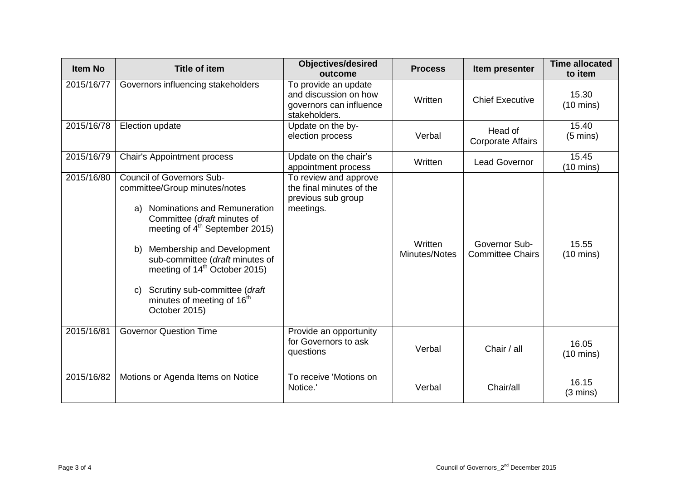| <b>Item No</b> | <b>Title of item</b>                                                                                                                                                                                                                                                                                                                                                                                                        | <b>Objectives/desired</b><br>outcome                                                      | <b>Process</b>           | Item presenter                           | <b>Time allocated</b><br>to item |
|----------------|-----------------------------------------------------------------------------------------------------------------------------------------------------------------------------------------------------------------------------------------------------------------------------------------------------------------------------------------------------------------------------------------------------------------------------|-------------------------------------------------------------------------------------------|--------------------------|------------------------------------------|----------------------------------|
| 2015/16/77     | Governors influencing stakeholders                                                                                                                                                                                                                                                                                                                                                                                          | To provide an update<br>and discussion on how<br>governors can influence<br>stakeholders. | Written                  | <b>Chief Executive</b>                   | 15.30<br>$(10 \text{ mins})$     |
| 2015/16/78     | Election update                                                                                                                                                                                                                                                                                                                                                                                                             | Update on the by-<br>election process                                                     | Verbal                   | Head of<br><b>Corporate Affairs</b>      | 15.40<br>$(5 \text{ mins})$      |
| 2015/16/79     | <b>Chair's Appointment process</b>                                                                                                                                                                                                                                                                                                                                                                                          | Update on the chair's<br>appointment process                                              | Written                  | <b>Lead Governor</b>                     | 15.45<br>$(10 \text{ mins})$     |
| 2015/16/80     | <b>Council of Governors Sub-</b><br>committee/Group minutes/notes<br><b>Nominations and Remuneration</b><br>a)<br>Committee (draft minutes of<br>meeting of 4 <sup>th</sup> September 2015)<br>Membership and Development<br>b)<br>sub-committee (draft minutes of<br>meeting of 14 <sup>th</sup> October 2015)<br>Scrutiny sub-committee (draft<br>$\mathbf{C}$<br>minutes of meeting of 16 <sup>th</sup><br>October 2015) | To review and approve<br>the final minutes of the<br>previous sub group<br>meetings.      | Written<br>Minutes/Notes | Governor Sub-<br><b>Committee Chairs</b> | 15.55<br>$(10 \text{ mins})$     |
| 2015/16/81     | <b>Governor Question Time</b>                                                                                                                                                                                                                                                                                                                                                                                               | Provide an opportunity<br>for Governors to ask<br>questions                               | Verbal                   | Chair / all                              | 16.05<br>$(10 \text{ mins})$     |
| 2015/16/82     | Motions or Agenda Items on Notice                                                                                                                                                                                                                                                                                                                                                                                           | To receive 'Motions on<br>Notice.                                                         | Verbal                   | Chair/all                                | 16.15<br>$(3 \text{ mins})$      |